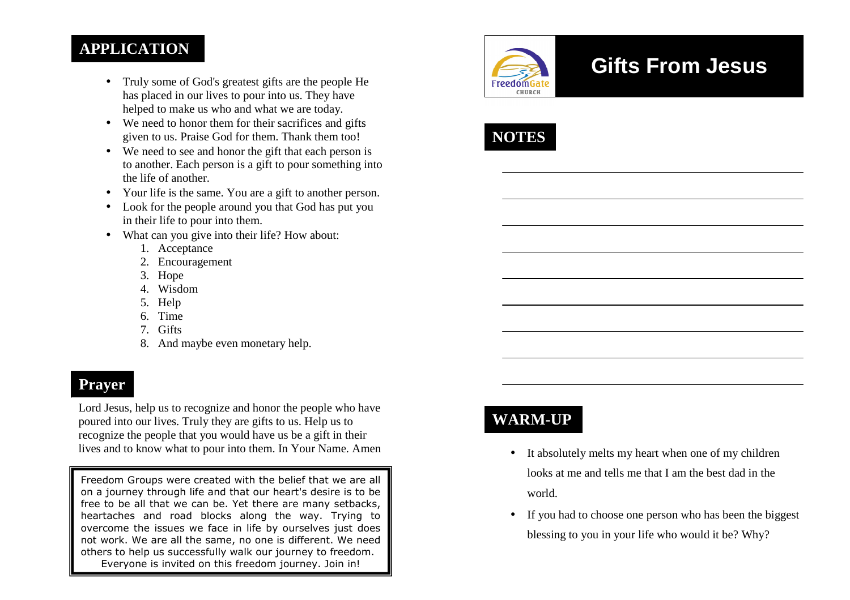### **APPLICATION**

- Truly some of God's greatest gifts are the people He has placed in our lives to pour into us. They have helped to make us who and what we are today.
- We need to honor them for their sacrifices and gifts given to us. Praise God for them. Thank them too!
- We need to see and honor the gift that each person is to another. Each person is a gift to pour something into the life of another.
- Your life is the same. You are a gift to another person.
- Look for the people around you that God has put youin their life to pour into them.
- What can you give into their life? How about:
	- 1. Acceptance
	- 2. Encouragement
	- 3. Hope
	- 4. Wisdom
	- 5. Help
	- 6. Time
	- 7. Gifts
	- 8. And maybe even monetary help.

### **Prayer**

Lord Jesus, help us to recognize and honor the people who have poured into our lives. Truly they are gifts to us. Help us to recognize the people that you would have us be a gift in their lives and to know what to pour into them. In Your Name. Amen

Freedom Groups were created with the belief that we are all on a journey through life and that our heart's desire is to be free to be all that we can be. Yet there are many setbacks, heartaches and road blocks along the way. Trying to overcome the issues we face in life by ourselves just does not work. We are all the same, no one is different. We need others to help us successfully walk our journey to freedom. Everyone is invited on this freedom journey. Join in!



# **Gifts From Jesus**



# **WARM-UP**

- It absolutely melts my heart when one of my children looks at me and tells me that I am the best dad in the world.
- If you had to choose one person who has been the biggest blessing to you in your life who would it be? Why?